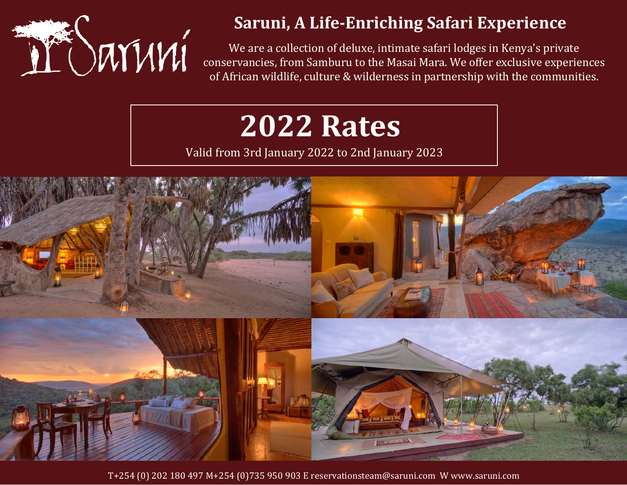

## **Saruni, A Life-Enriching Safari Experience**

We are a collection of deluxe, intimate safari lodges in Kenya's private conservancies, from Samburu to the Masai Mara. We offer exclusive experiences of African wildlife, culture & wilderness in partnership with the communities.

# **2022 Rates**

Valid from 3rd January 2022 to 2nd January 2023



T+254 (0) 202 180 497 M+254 (0)735 950 903 E reservationsteam@saruni.com W www.saruni.com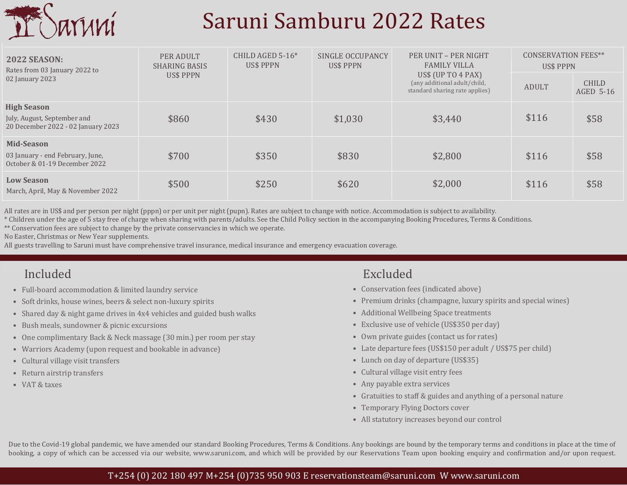

# Saruni Samburu 2022 Rates

| <b>2022 SEASON:</b><br>Rates from 03 January 2022 to<br>02 January 2023                 | PER ADULT<br><b>SHARING BASIS</b><br><b>US\$ PPPN</b> | CHILD AGED $5-16*$<br><b>US\$ PPPN</b> | SINGLE OCCUPANCY<br><b>US\$ PPPN</b> | PER UNIT - PER NIGHT<br><b>FAMILY VILLA</b>                                            | <b>CONSERVATION FEES**</b><br><b>US\$ PPPN</b> |                           |
|-----------------------------------------------------------------------------------------|-------------------------------------------------------|----------------------------------------|--------------------------------------|----------------------------------------------------------------------------------------|------------------------------------------------|---------------------------|
|                                                                                         |                                                       |                                        |                                      | US\$ (UP TO $4$ PAX)<br>(any additional adult/child,<br>standard sharing rate applies) | <b>ADULT</b>                                   | <b>CHILD</b><br>AGED 5-16 |
| <b>High Season</b><br>July, August, September and<br>20 December 2022 - 02 January 2023 | \$860                                                 | \$430                                  | \$1,030                              | \$3,440                                                                                | \$116                                          | \$58                      |
| Mid-Season<br>03 January - end February, June,<br>October & 01-19 December 2022         | \$700                                                 | \$350                                  | \$830                                | \$2,800                                                                                | \$116                                          | \$58                      |
| <b>Low Season</b><br>March, April, May & November 2022                                  | \$500                                                 | \$250                                  | \$620                                | \$2,000                                                                                | \$116                                          | \$58                      |

All rates are in US\$ and per person per night (pppn) or per unit per night (pupn). Rates are subject to change with notice. Accommodation is subject to availability.

\* Children under the age of 5 stay free of charge when sharing with parents/adults. See the Child Policy section in the accompanying Booking Procedures, Terms & Conditions.

\*\* Conservation fees are subject to change by the private conservancies in which we operate.

No Easter, Christmas or New Year supplements.

All guests travelling to Saruni must have comprehensive travel insurance, medical insurance and emergency evacuation coverage.

## Included Excluded

- Full-board accommodation & limited laundry service
- Soft drinks, house wines, beers & select non-luxury spirits
- Shared day & night game drives in 4x4 vehicles and guided bush walks
- Bush meals, sundowner & picnic excursions
- One complimentary Back & Neck massage (30 min.) per room per stay
- Warriors Academy (upon request and bookable in advance)
- Cultural village visit transfers
- Return airstrip transfers
- VAT & taxes

- Conservation fees (indicated above)
- Premium drinks (champagne, luxury spirits and special wines)
- Additional Wellbeing Space treatments
- Exclusive use of vehicle (US\$350 per day)
- Own private guides (contact us for rates)
- Late departure fees (US\$150 per adult / US\$75 per child)
- Lunch on day of departure (US\$35)
- Cultural village visit entry fees
- Any payable extra services
- Gratuities to staff & guides and anything of a personal nature
- Temporary Flying Doctors cover
- All statutory increases beyond our control

Due to the Covid-19 global pandemic, we have amended our standard Booking Procedures, Terms & Conditions. Any bookings are bound by the temporary terms and conditions in place at the time of booking, a copy of which can be accessed via our website, www.saruni.com, and which will be provided by our Reservations Team upon booking enquiry and confirmation and/or upon request.

### T+254 (0) 202 180 497 M+254 (0)735 950 903 E reservationsteam@saruni.com W www.saruni.com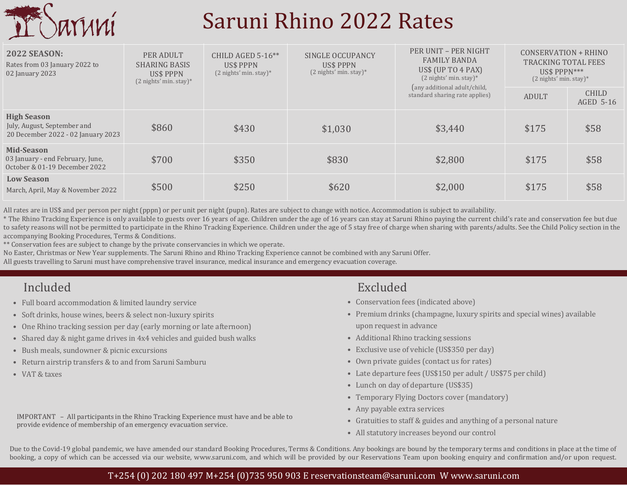

# Saruni Rhino 2022 Rates

| <b>2022 SEASON:</b><br>Rates from 03 January 2022 to<br>02 January 2023                 | PER ADULT<br><b>SHARING BASIS</b><br>US\$ PPPN<br>$(2 \text{ nights'} \text{min. stay})^*$ | CHILD AGED 5-16 $**$<br>US\$ PPPN<br>$(2 \text{ nights'} \text{min. stay})^*$ | SINGLE OCCUPANCY<br><b>US\$ PPPN</b><br>$(2$ nights' min. stay)* | PER UNIT - PER NIGHT<br><b>FAMILY BANDA</b><br>US\$ (UP TO $4$ PAX)<br>$(2$ nights' min. stay)*<br>(any additional adult/child,<br>standard sharing rate applies) | CONSERVATION + RHINO<br>TRACKING TOTAL FEES<br>$USS$ PPPN***<br>$(2 \text{ nights'} \text{min. stay})^*$ |                           |
|-----------------------------------------------------------------------------------------|--------------------------------------------------------------------------------------------|-------------------------------------------------------------------------------|------------------------------------------------------------------|-------------------------------------------------------------------------------------------------------------------------------------------------------------------|----------------------------------------------------------------------------------------------------------|---------------------------|
|                                                                                         |                                                                                            |                                                                               |                                                                  |                                                                                                                                                                   | ADULT                                                                                                    | <b>CHILD</b><br>AGED 5-16 |
| <b>High Season</b><br>July, August, September and<br>20 December 2022 - 02 January 2023 | \$860                                                                                      | \$430                                                                         | \$1,030                                                          | \$3,440                                                                                                                                                           | \$175                                                                                                    | \$58                      |
| Mid-Season<br>03 January - end February, June,<br>October & 01-19 December 2022         | \$700                                                                                      | \$350                                                                         | \$830                                                            | \$2,800                                                                                                                                                           | \$175                                                                                                    | \$58                      |
| <b>Low Season</b><br>March, April, May & November 2022                                  | \$500                                                                                      | \$250                                                                         | \$620                                                            | \$2,000                                                                                                                                                           | \$175                                                                                                    | \$58                      |

All rates are in US\$ and per person per night (pppn) or per unit per night (pupn). Rates are subject to change with notice. Accommodation is subject to availability.

\* The Rhino Tracking Experience is only available to guests over 16 years of age. Children under the age of 16 years can stay at Saruni Rhino paying the current child's rate and conservation fee but due to safety reasons will not be permitted to participate in the Rhino Tracking Experience. Children under the age of 5 stay free of charge when sharing with parents/adults. See the Child Policy section in the accompanying Booking Procedures, Terms & Conditions.

\*\* Conservation fees are subject to change by the private conservancies in which we operate.

No Easter, Christmas or New Year supplements. The Saruni Rhino and Rhino Tracking Experience cannot be combined with any Saruni Offer.

All guests travelling to Saruni must have comprehensive travel insurance, medical insurance and emergency evacuation coverage.

- Full board accommodation & limited laundry service
- Soft drinks, house wines, beers & select non-luxury spirits
- One Rhino tracking session per day (early morning or late afternoon)
- Shared day & night game drives in 4x4 vehicles and guided bush walks
- Bush meals, sundowner & picnic excursions
- Return airstrip transfers & to and from Saruni Samburu
- VAT & taxes

### IMPORTANT – All participants in the Rhino Tracking Experience must have and be able to provide evidence of membership of an emergency evacuation service.

### Included Excluded

- Conservation fees (indicated above)
- Premium drinks (champagne, luxury spirits and special wines) available upon request in advance
- Additional Rhino tracking sessions
- Exclusive use of vehicle (US\$350 per day)
- Own private guides (contact us for rates)
- Late departure fees (US\$150 per adult / US\$75 per child)
- Lunch on day of departure (US\$35)
- Temporary Flying Doctors cover (mandatory)
- Any payable extra services
- Gratuities to staff & guides and anything of a personal nature
- All statutory increases beyond our control

Due to the Covid-19 global pandemic, we have amended our standard Booking Procedures, Terms & Conditions. Any bookings are bound by the temporary terms and conditions in place at the time of booking, a copy of which can be accessed via our website, www.saruni.com, and which will be provided by our Reservations Team upon booking enquiry and confirmation and/or upon request.

### T+254 (0) 202 180 497 M+254 (0)735 950 903 E reservationsteam@saruni.com W www.saruni.com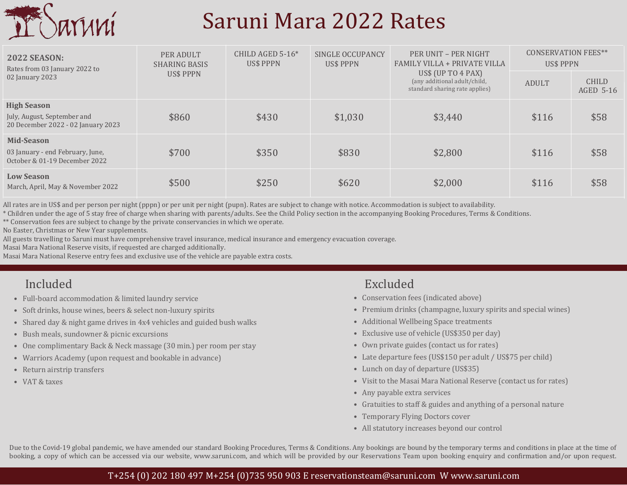

## Saruni Mara 2022 Rates

| <b>2022 SEASON:</b><br>Rates from 03 January 2022 to<br>02 January 2023                 | PER ADULT<br><b>SHARING BASIS</b><br>US\$ PPPN | CHILD AGED $5-16*$<br>US\$ PPPN | SINGLE OCCUPANCY<br><b>US\$ PPPN</b> | PER UNIT - PER NIGHT<br>FAMILY VILLA + PRIVATE VILLA<br>US\$ PPPN                      |              | <b>CONSERVATION FEES**</b> |  |
|-----------------------------------------------------------------------------------------|------------------------------------------------|---------------------------------|--------------------------------------|----------------------------------------------------------------------------------------|--------------|----------------------------|--|
|                                                                                         |                                                |                                 |                                      | US\$ (UP TO $4$ PAX)<br>(any additional adult/child,<br>standard sharing rate applies) | <b>ADULT</b> | <b>CHILD</b><br>AGED 5-16  |  |
| <b>High Season</b><br>July, August, September and<br>20 December 2022 - 02 January 2023 | \$860                                          | \$430                           | \$1,030                              | \$3,440                                                                                | \$116        | \$58                       |  |
| Mid-Season<br>03 January - end February, June,<br>October & 01-19 December 2022         | \$700                                          | \$350                           | \$830                                | \$2,800                                                                                | \$116        | \$58                       |  |
| <b>Low Season</b><br>March, April, May & November 2022                                  | \$500                                          | \$250                           | \$620                                | \$2,000                                                                                | \$116        | \$58                       |  |

All rates are in US\$ and per person per night (pppn) or per unit per night (pupn). Rates are subject to change with notice. Accommodation is subject to availability.

\* Children under the age of 5 stay free of charge when sharing with parents/adults. See the Child Policy section in the accompanying Booking Procedures, Terms & Conditions.

\*\* Conservation fees are subject to change by the private conservancies in which we operate.

No Easter, Christmas or New Year supplements.

All guests travelling to Saruni must have comprehensive travel insurance, medical insurance and emergency evacuation coverage.

Masai Mara National Reserve visits, if requested are charged additionally.

Masai Mara National Reserve entry fees and exclusive use of the vehicle are payable extra costs.

- Full-board accommodation & limited laundry service
- Soft drinks, house wines, beers & select non-luxury spirits
- Shared day & night game drives in 4x4 vehicles and guided bush walks
- Bush meals, sundowner & picnic excursions
- One complimentary Back & Neck massage (30 min.) per room per stay
- Warriors Academy (upon request and bookable in advance)
- Return airstrip transfers
- VAT & taxes

## Included Excluded

- Conservation fees (indicated above)
- Premium drinks (champagne, luxury spirits and special wines)
- Additional Wellbeing Space treatments
- Exclusive use of vehicle (US\$350 per day)
- Own private guides (contact us for rates)
- Late departure fees (US\$150 per adult / US\$75 per child)
- Lunch on day of departure (US\$35)
- Visit to the Masai Mara National Reserve (contact us for rates)
- Any payable extra services
- Gratuities to staff & guides and anything of a personal nature
- Temporary Flying Doctors cover
- All statutory increases beyond our control

Due to the Covid-19 global pandemic, we have amended our standard Booking Procedures, Terms & Conditions. Any bookings are bound by the temporary terms and conditions in place at the time of booking, a copy of which can be accessed via our website, www.saruni.com, and which will be provided by our Reservations Team upon booking enquiry and confirmation and/or upon request.